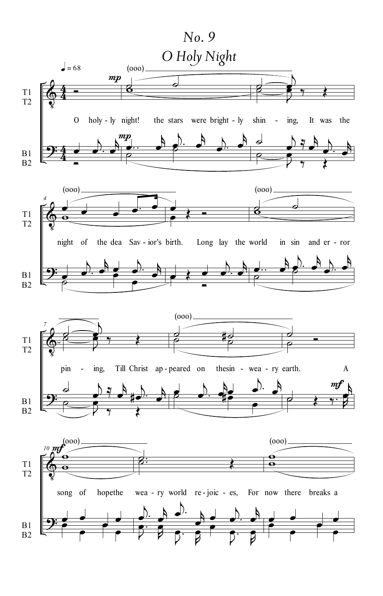